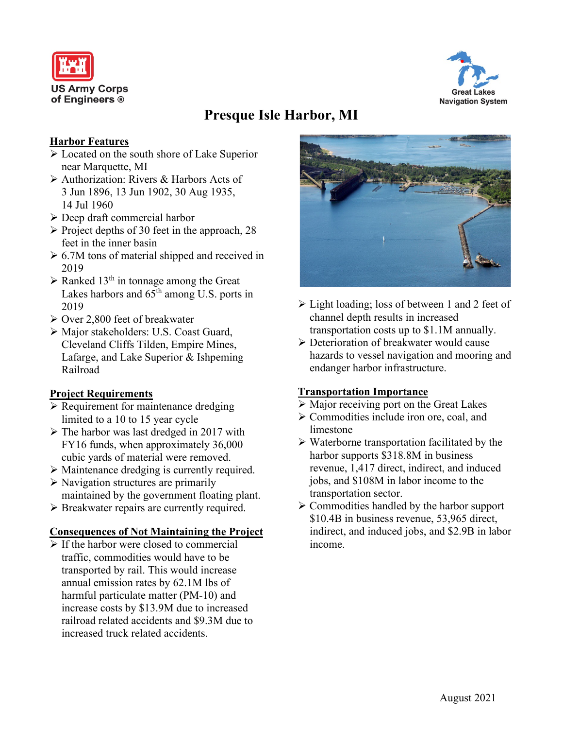



# **Presque Isle Harbor, MI**

## **Harbor Features**

- Located on the south shore of Lake Superior near Marquette, MI
- Authorization: Rivers & Harbors Acts of 3 Jun 1896, 13 Jun 1902, 30 Aug 1935, 14 Jul 1960
- Deep draft commercial harbor
- $\triangleright$  Project depths of 30 feet in the approach, 28 feet in the inner basin
- $\geq 6.7M$  tons of material shipped and received in 2019
- $\triangleright$  Ranked 13<sup>th</sup> in tonnage among the Great Lakes harbors and  $65<sup>th</sup>$  among U.S. ports in 2019
- Over 2,800 feet of breakwater
- Major stakeholders: U.S. Coast Guard, Cleveland Cliffs Tilden, Empire Mines, Lafarge, and Lake Superior & Ishpeming Railroad

## **Project Requirements**

- $\triangleright$  Requirement for maintenance dredging limited to a 10 to 15 year cycle
- $\triangleright$  The harbor was last dredged in 2017 with FY16 funds, when approximately 36,000 cubic yards of material were removed.
- Maintenance dredging is currently required.
- $\triangleright$  Navigation structures are primarily maintained by the government floating plant.
- ▶ Breakwater repairs are currently required.

#### **Consequences of Not Maintaining the Project**

 $\triangleright$  If the harbor were closed to commercial traffic, commodities would have to be transported by rail. This would increase annual emission rates by 62.1M lbs of harmful particulate matter (PM-10) and increase costs by \$13.9M due to increased railroad related accidents and \$9.3M due to increased truck related accidents.



- Light loading; loss of between 1 and 2 feet of channel depth results in increased transportation costs up to \$1.1M annually.
- Deterioration of breakwater would cause hazards to vessel navigation and mooring and endanger harbor infrastructure.

## **Transportation Importance**

- $\triangleright$  Major receiving port on the Great Lakes
- Commodities include iron ore, coal, and limestone
- $\triangleright$  Waterborne transportation facilitated by the harbor supports \$318.8M in business revenue, 1,417 direct, indirect, and induced jobs, and \$108M in labor income to the transportation sector.
- $\triangleright$  Commodities handled by the harbor support \$10.4B in business revenue, 53,965 direct, indirect, and induced jobs, and \$2.9B in labor income.